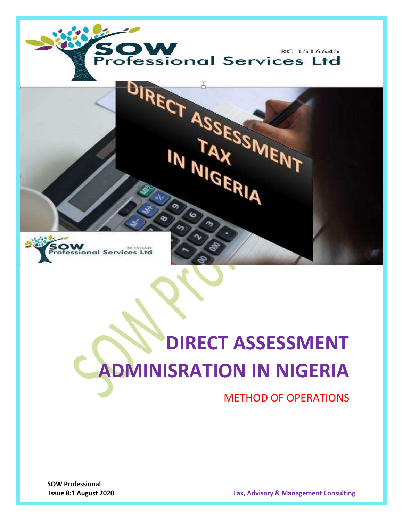



# **DIRECT ASSESSMENT ADMINISRATION IN NIGERIA**

METHOD OF OPERATIONS

**SOW Professional** 

**Issue 8:1 August 2020 Tax, Advisory & Management Consulting**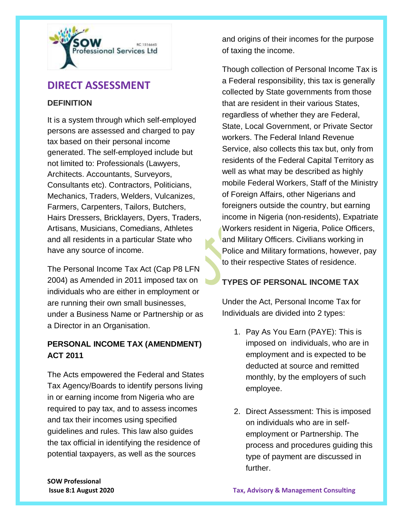

# **DIRECT ASSESSMENT**

#### **DEFINITION**

It is a system through which self-employed persons are assessed and charged to pay tax based on their personal income generated. The self-employed include but not limited to: Professionals (Lawyers, Architects. Accountants, Surveyors, Consultants etc). Contractors, Politicians, Mechanics, Traders, Welders, Vulcanizes, Farmers, Carpenters, Tailors, Butchers, Hairs Dressers, Bricklayers, Dyers, Traders, Artisans, Musicians, Comedians, Athletes and all residents in a particular State who have any source of income.

The Personal Income Tax Act (Cap P8 LFN 2004) as Amended in 2011 imposed tax on individuals who are either in employment or are running their own small businesses, under a Business Name or Partnership or as a Director in an Organisation.

## **PERSONAL INCOME TAX (AMENDMENT) ACT 2011**

The Acts empowered the Federal and States Tax Agency/Boards to identify persons living in or earning income from Nigeria who are required to pay tax, and to assess incomes and tax their incomes using specified guidelines and rules. This law also guides the tax official in identifying the residence of potential taxpayers, as well as the sources

and origins of their incomes for the purpose of taxing the income.

Though collection of Personal Income Tax is a Federal responsibility, this tax is generally collected by State governments from those that are resident in their various States, regardless of whether they are Federal, State, Local Government, or Private Sector workers. The Federal Inland Revenue Service, also collects this tax but, only from residents of the Federal Capital Territory as well as what may be described as highly mobile Federal Workers, Staff of the Ministry of Foreign Affairs, other Nigerians and foreigners outside the country, but earning income in Nigeria (non-residents), Expatriate Workers resident in Nigeria, Police Officers, and Military Officers. Civilians working in Police and Military formations, however, pay to their respective States of residence.

## **TYPES OF PERSONAL INCOME TAX**

Under the Act, Personal Income Tax for Individuals are divided into 2 types:

- 1. Pay As You Earn (PAYE): This is imposed on individuals, who are in employment and is expected to be deducted at source and remitted monthly, by the employers of such employee.
- 2. Direct Assessment: This is imposed on individuals who are in selfemployment or Partnership. The process and procedures guiding this type of payment are discussed in further.

**SOW Professional**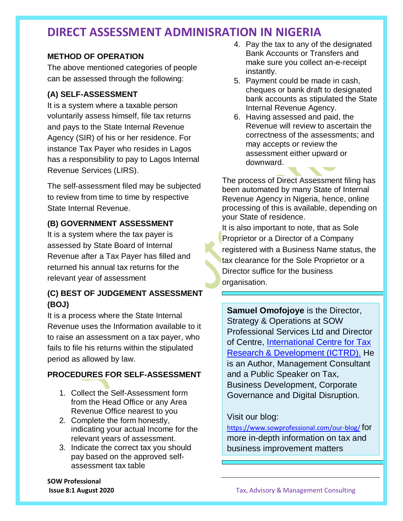# **DIRECT ASSESSMENT ADMINISRATION IN NIGERIA**

#### **METHOD OF OPERATION**

The above mentioned categories of people can be assessed through the following:

#### **(A) SELF-ASSESSMENT**

It is a system where a taxable person voluntarily assess himself, file tax returns and pays to the State Internal Revenue Agency (SIR) of his or her residence. For instance Tax Payer who resides in Lagos has a responsibility to pay to Lagos Internal Revenue Services (LIRS).

The self-assessment filed may be subjected to review from time to time by respective State Internal Revenue.

#### **(B) GOVERNMENT ASSESSMENT**

It is a system where the tax payer is assessed by State Board of Internal Revenue after a Tax Payer has filled and returned his annual tax returns for the relevant year of assessment

# **(C) BEST OF JUDGEMENT ASSESSMENT (BOJ)**

It is a process where the State Internal Revenue uses the Information available to it to raise an assessment on a tax payer, who fails to file his returns within the stipulated period as allowed by law.

## **PROCEDURES FOR SELF-ASSESSMENT**

- 1. Collect the Self-Assessment form from the Head Office or any Area Revenue Office nearest to you
- 2. Complete the form honestly, indicating your actual Income for the relevant years of assessment.
- 3. Indicate the correct tax you should pay based on the approved selfassessment tax table

**SOW Professional** 

- 4. Pay the tax to any of the designated Bank Accounts or Transfers and make sure you collect an-e-receipt instantly.
- 5. Payment could be made in cash, cheques or bank draft to designated bank accounts as stipulated the State Internal Revenue Agency.
- 6. Having assessed and paid, the Revenue will review to ascertain the correctness of the assessments; and may accepts or review the assessment either upward or downward.

The process of Direct Assessment filing has been automated by many State of Internal Revenue Agency in Nigeria, hence, online processing of this is available, depending on your State of residence.

It is also important to note, that as Sole Proprietor or a Director of a Company registered with a Business Name status, the tax clearance for the Sole Proprietor or a Director suffice for the business organisation.

**Samuel Omofojoye** is the Director, Strategy & Operations at SOW Professional Services Ltd and Director of Centre, [International Centre for Tax](https://www.ictrd.org.ng/)  [Research & Development \(ICTRD\).](https://www.ictrd.org.ng/) He is an Author, Management Consultant and a Public Speaker on Tax, Business Development, Corporate Governance and Digital Disruption.

## Visit our blog:

<https://www.sowprofessional.com/our-blog/> for more in-depth information on tax and business improvement matters